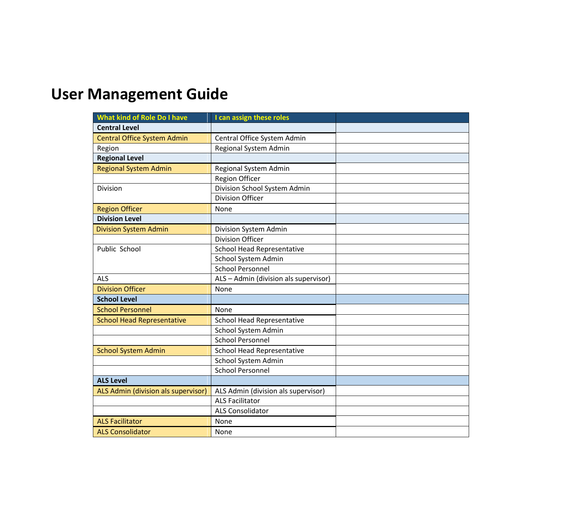## **User Management Guide**

| <b>What kind of Role Do I have</b>  | I can assign these roles              |  |  |  |
|-------------------------------------|---------------------------------------|--|--|--|
| <b>Central Level</b>                |                                       |  |  |  |
| <b>Central Office System Admin</b>  | Central Office System Admin           |  |  |  |
| Region                              | Regional System Admin                 |  |  |  |
| <b>Regional Level</b>               |                                       |  |  |  |
| <b>Regional System Admin</b>        | Regional System Admin                 |  |  |  |
|                                     | <b>Region Officer</b>                 |  |  |  |
| Division                            | Division School System Admin          |  |  |  |
|                                     | <b>Division Officer</b>               |  |  |  |
| <b>Region Officer</b>               | None                                  |  |  |  |
| <b>Division Level</b>               |                                       |  |  |  |
| <b>Division System Admin</b>        | Division System Admin                 |  |  |  |
|                                     | <b>Division Officer</b>               |  |  |  |
| Public School                       | <b>School Head Representative</b>     |  |  |  |
|                                     | School System Admin                   |  |  |  |
|                                     | <b>School Personnel</b>               |  |  |  |
| <b>ALS</b>                          | ALS - Admin (division als supervisor) |  |  |  |
| <b>Division Officer</b>             | None                                  |  |  |  |
| <b>School Level</b>                 |                                       |  |  |  |
| <b>School Personnel</b>             | None                                  |  |  |  |
| <b>School Head Representative</b>   | <b>School Head Representative</b>     |  |  |  |
|                                     | School System Admin                   |  |  |  |
|                                     | <b>School Personnel</b>               |  |  |  |
| <b>School System Admin</b>          | <b>School Head Representative</b>     |  |  |  |
|                                     | School System Admin                   |  |  |  |
|                                     | <b>School Personnel</b>               |  |  |  |
| <b>ALS Level</b>                    |                                       |  |  |  |
| ALS Admin (division als supervisor) | ALS Admin (division als supervisor)   |  |  |  |
|                                     | <b>ALS Facilitator</b>                |  |  |  |
|                                     | <b>ALS Consolidator</b>               |  |  |  |
| <b>ALS Facilitator</b>              | <b>None</b>                           |  |  |  |
| <b>ALS Consolidator</b>             | <b>None</b>                           |  |  |  |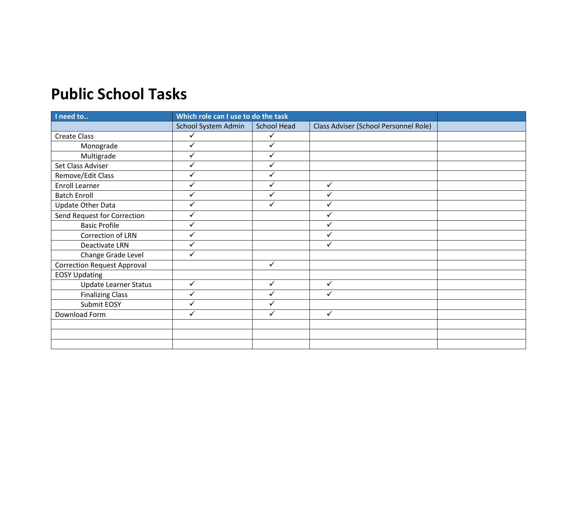## **Public School Tasks**

| I need to                          | Which role can I use to do the task |              |                                       |  |
|------------------------------------|-------------------------------------|--------------|---------------------------------------|--|
|                                    | School System Admin                 | School Head  | Class Adviser (School Personnel Role) |  |
| <b>Create Class</b>                | $\checkmark$                        | $\checkmark$ |                                       |  |
| Monograde                          | ✓                                   | $\checkmark$ |                                       |  |
| Multigrade                         | ✓                                   | ✓            |                                       |  |
| Set Class Adviser                  |                                     |              |                                       |  |
| Remove/Edit Class                  | ✓                                   | ✓            |                                       |  |
| Enroll Learner                     | ✓                                   |              | $\checkmark$                          |  |
| <b>Batch Enroll</b>                | ✓                                   | ✓            |                                       |  |
| <b>Update Other Data</b>           | ✓                                   | ✓            |                                       |  |
| Send Request for Correction        | ✓                                   |              |                                       |  |
| <b>Basic Profile</b>               | ✓                                   |              | ✓                                     |  |
| Correction of LRN                  | ✓                                   |              | ✓                                     |  |
| Deactivate LRN                     | ✓                                   |              | $\checkmark$                          |  |
| Change Grade Level                 | ✓                                   |              |                                       |  |
| <b>Correction Request Approval</b> |                                     | $\checkmark$ |                                       |  |
| <b>EOSY Updating</b>               |                                     |              |                                       |  |
| <b>Update Learner Status</b>       | ✓                                   | $\checkmark$ | $\checkmark$                          |  |
| <b>Finalizing Class</b>            | ✓                                   | ✓            | ✓                                     |  |
| Submit EOSY                        | ✓                                   |              |                                       |  |
| Download Form                      | ✓                                   | $\checkmark$ | $\checkmark$                          |  |
|                                    |                                     |              |                                       |  |
|                                    |                                     |              |                                       |  |
|                                    |                                     |              |                                       |  |